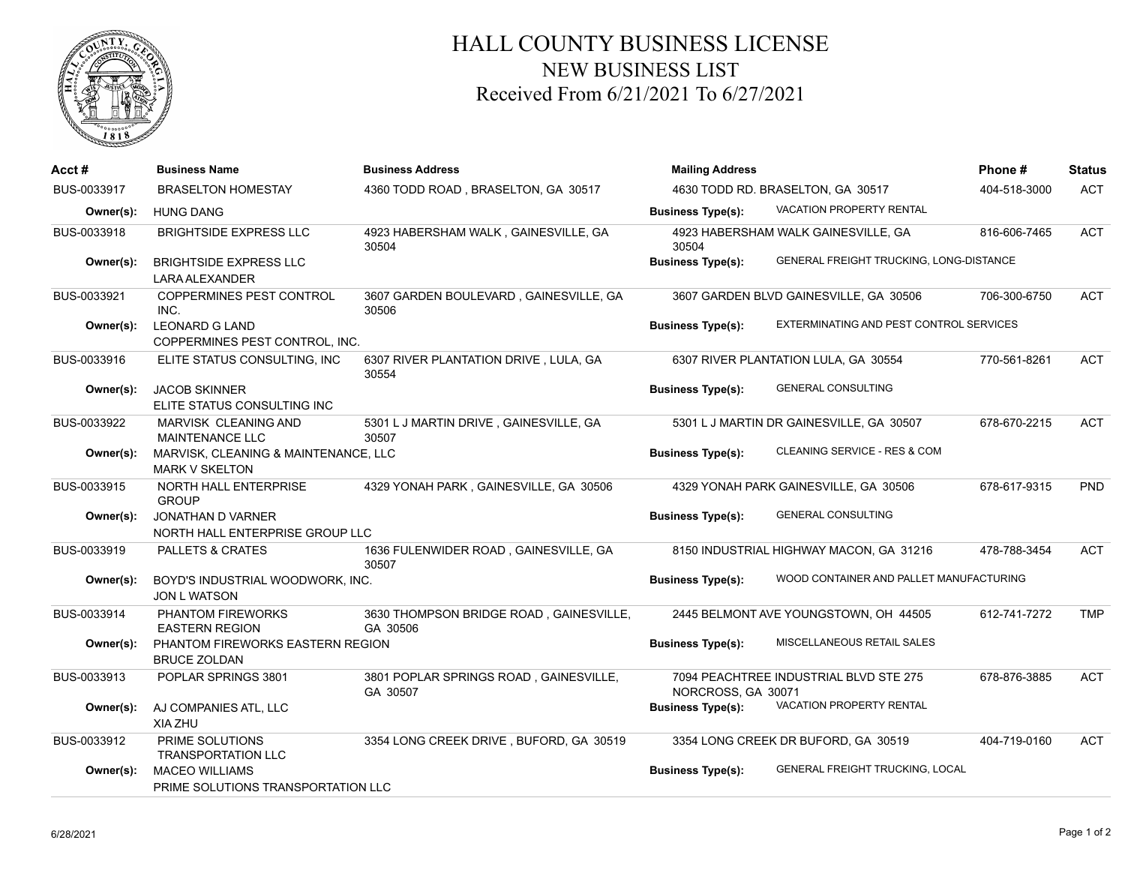

## HALL COUNTY BUSINESS LICENSE NEW BUSINESS LIST Received From 6/21/2021 To 6/27/2021

| Acct#       | <b>Business Name</b>                                          | <b>Business Address</b>                             | <b>Mailing Address</b>            | Phone#                                   | <b>Status</b> |            |
|-------------|---------------------------------------------------------------|-----------------------------------------------------|-----------------------------------|------------------------------------------|---------------|------------|
| BUS-0033917 | <b>BRASELTON HOMESTAY</b>                                     | 4360 TODD ROAD, BRASELTON, GA 30517                 | 4630 TODD RD. BRASELTON, GA 30517 |                                          | 404-518-3000  | <b>ACT</b> |
| Owner(s):   | <b>HUNG DANG</b>                                              |                                                     | <b>Business Type(s):</b>          | VACATION PROPERTY RENTAL                 |               |            |
| BUS-0033918 | <b>BRIGHTSIDE EXPRESS LLC</b>                                 | 4923 HABERSHAM WALK, GAINESVILLE, GA<br>30504       | 30504                             | 4923 HABERSHAM WALK GAINESVILLE, GA      | 816-606-7465  | <b>ACT</b> |
| Owner(s):   | <b>BRIGHTSIDE EXPRESS LLC</b><br><b>LARA ALEXANDER</b>        |                                                     | <b>Business Type(s):</b>          | GENERAL FREIGHT TRUCKING, LONG-DISTANCE  |               |            |
| BUS-0033921 | COPPERMINES PEST CONTROL<br>INC.                              | 3607 GARDEN BOULEVARD, GAINESVILLE, GA<br>30506     |                                   | 3607 GARDEN BLVD GAINESVILLE, GA 30506   | 706-300-6750  | <b>ACT</b> |
| Owner(s):   | <b>LEONARD G LAND</b><br>COPPERMINES PEST CONTROL, INC.       |                                                     | <b>Business Type(s):</b>          | EXTERMINATING AND PEST CONTROL SERVICES  |               |            |
| BUS-0033916 | ELITE STATUS CONSULTING, INC                                  | 6307 RIVER PLANTATION DRIVE, LULA, GA<br>30554      |                                   | 6307 RIVER PLANTATION LULA, GA 30554     | 770-561-8261  | <b>ACT</b> |
| Owner(s):   | <b>JACOB SKINNER</b><br>ELITE STATUS CONSULTING INC           |                                                     | <b>Business Type(s):</b>          | <b>GENERAL CONSULTING</b>                |               |            |
| BUS-0033922 | MARVISK CLEANING AND<br><b>MAINTENANCE LLC</b>                | 5301 L J MARTIN DRIVE, GAINESVILLE, GA<br>30507     |                                   | 5301 L J MARTIN DR GAINESVILLE, GA 30507 | 678-670-2215  | <b>ACT</b> |
| Owner(s):   | MARVISK, CLEANING & MAINTENANCE, LLC<br><b>MARK V SKELTON</b> |                                                     | <b>Business Type(s):</b>          | CLEANING SERVICE - RES & COM             |               |            |
| BUS-0033915 | NORTH HALL ENTERPRISE<br><b>GROUP</b>                         | 4329 YONAH PARK, GAINESVILLE, GA 30506              |                                   | 4329 YONAH PARK GAINESVILLE, GA 30506    | 678-617-9315  | PND        |
| Owner(s):   | JONATHAN D VARNER<br>NORTH HALL ENTERPRISE GROUP LLC          |                                                     | <b>Business Type(s):</b>          | <b>GENERAL CONSULTING</b>                |               |            |
| BUS-0033919 | <b>PALLETS &amp; CRATES</b>                                   | 1636 FULENWIDER ROAD, GAINESVILLE, GA<br>30507      |                                   | 8150 INDUSTRIAL HIGHWAY MACON, GA 31216  | 478-788-3454  | <b>ACT</b> |
| Owner(s):   | BOYD'S INDUSTRIAL WOODWORK, INC.<br><b>JON L WATSON</b>       |                                                     | <b>Business Type(s):</b>          | WOOD CONTAINER AND PALLET MANUFACTURING  |               |            |
| BUS-0033914 | PHANTOM FIREWORKS<br><b>EASTERN REGION</b>                    | 3630 THOMPSON BRIDGE ROAD, GAINESVILLE,<br>GA 30506 |                                   | 2445 BELMONT AVE YOUNGSTOWN, OH 44505    | 612-741-7272  | <b>TMP</b> |
| Owner(s):   | PHANTOM FIREWORKS EASTERN REGION<br><b>BRUCE ZOLDAN</b>       |                                                     | <b>Business Type(s):</b>          | MISCELLANEOUS RETAIL SALES               |               |            |
| BUS-0033913 | POPLAR SPRINGS 3801                                           | 3801 POPLAR SPRINGS ROAD, GAINESVILLE,<br>GA 30507  | NORCROSS, GA 30071                | 7094 PEACHTREE INDUSTRIAL BLVD STE 275   | 678-876-3885  | <b>ACT</b> |
| Owner(s):   | AJ COMPANIES ATL, LLC<br>XIA ZHU                              |                                                     | <b>Business Type(s):</b>          | VACATION PROPERTY RENTAL                 |               |            |
| BUS-0033912 | PRIME SOLUTIONS<br><b>TRANSPORTATION LLC</b>                  | 3354 LONG CREEK DRIVE, BUFORD, GA 30519             |                                   | 3354 LONG CREEK DR BUFORD, GA 30519      | 404-719-0160  | <b>ACT</b> |
| Owner(s):   | <b>MACEO WILLIAMS</b><br>PRIME SOLUTIONS TRANSPORTATION LLC   |                                                     | <b>Business Type(s):</b>          | <b>GENERAL FREIGHT TRUCKING, LOCAL</b>   |               |            |